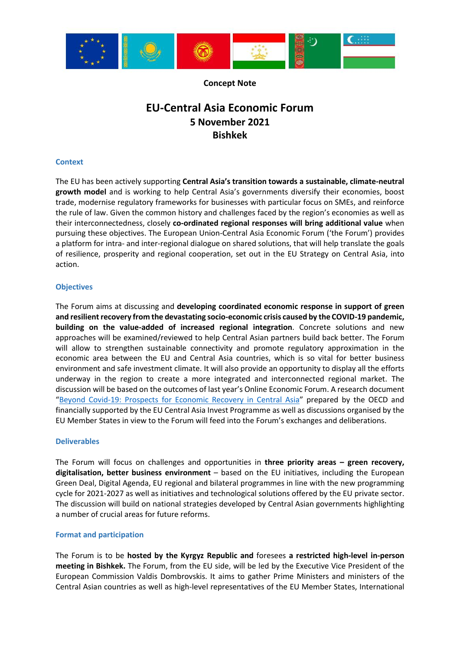

### **Concept Note**

# **EU-Central Asia Economic Forum 5 November 2021 Bishkek**

#### **Context**

The EU has been actively supporting **Central Asia's transition towards a sustainable, climate-neutral growth model** and is working to help Central Asia's governments diversify their economies, boost trade, modernise regulatory frameworks for businesses with particular focus on SMEs, and reinforce the rule of law. Given the common history and challenges faced by the region's economies as well as their interconnectedness, closely **co-ordinated regional responses will bring additional value** when pursuing these objectives. The European Union-Central Asia Economic Forum ('the Forum') provides a platform for intra- and inter-regional dialogue on shared solutions, that will help translate the goals of resilience, prosperity and regional cooperation, set out in the EU Strategy on Central Asia, into action.

### **Objectives**

The Forum aims at discussing and **developing coordinated economic response in support of green and resilient recovery from the devastating socio-economic crisis caused by the COVID-19 pandemic, building on the value-added of increased regional integration**. Concrete solutions and new approaches will be examined/reviewed to help Central Asian partners build back better. The Forum will allow to strengthen sustainable connectivity and promote regulatory approximation in the economic area between the EU and Central Asia countries, which is so vital for better business environment and safe investment climate. It will also provide an opportunity to display all the efforts underway in the region to create a more integrated and interconnected regional market. The discussion will be based on the outcomes of last year's Online Economic Forum. A research document "[Beyond Covid-19: Prospects for Economic Recovery in Central Asia](https://www.oecd.org/eurasia/Beyond_COVID%2019_Central%20Asia.pdf)" prepared by the OECD and financially supported by the EU Central Asia Invest Programme as well as discussions organised by the EU Member States in view to the Forum will feed into the Forum's exchanges and deliberations.

### **Deliverables**

The Forum will focus on challenges and opportunities in **three priority areas – green recovery, digitalisation, better business environment** – based on the EU initiatives, including the European Green Deal, Digital Agenda, EU regional and bilateral programmes in line with the new programming cycle for 2021-2027 as well as initiatives and technological solutions offered by the EU private sector. The discussion will build on national strategies developed by Central Asian governments highlighting a number of crucial areas for future reforms.

### **Format and participation**

The Forum is to be **hosted by the Kyrgyz Republic and** foresees **a restricted high-level in-person meeting in Bishkek.** The Forum, from the EU side, will be led by the Executive Vice President of the European Commission Valdis Dombrovskis. It aims to gather Prime Ministers and ministers of the Central Asian countries as well as high-level representatives of the EU Member States, International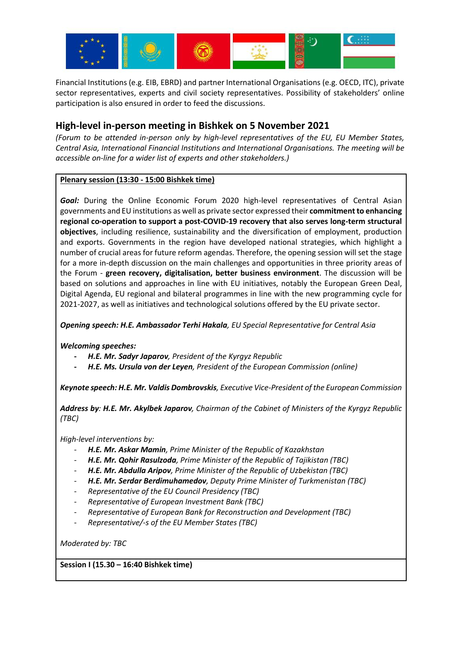

Financial Institutions (e.g. EIB, EBRD) and partner International Organisations (e.g. OECD, ITC), private sector representatives, experts and civil society representatives. Possibility of stakeholders' online participation is also ensured in order to feed the discussions.

# **High-level in-person meeting in Bishkek on 5 November 2021**

*(Forum to be attended in-person only by high-level representatives of the EU, EU Member States, Central Asia, International Financial Institutions and International Organisations. The meeting will be accessible on-line for a wider list of experts and other stakeholders.)* 

# **Plenary session (13:30 - 15:00 Bishkek time)**

*Goal:* During the Online Economic Forum 2020 high-level representatives of Central Asian governments and EU institutions as well as private sector expressed their **commitment to enhancing regional co-operation to support a post-COVID-19 recovery that also serves long-term structural objectives**, including resilience, sustainability and the diversification of employment, production and exports. Governments in the region have developed national strategies, which highlight a number of crucial areas for future reform agendas. Therefore, the opening session will set the stage for a more in-depth discussion on the main challenges and opportunities in three priority areas of the Forum - **green recovery, digitalisation, better business environment**. The discussion will be based on solutions and approaches in line with EU initiatives, notably the European Green Deal, Digital Agenda, EU regional and bilateral programmes in line with the new programming cycle for 2021-2027, as well as initiatives and technological solutions offered by the EU private sector.

*Opening speech: H.E. Ambassador Terhi Hakala, EU Special Representative for Central Asia* 

*Welcoming speeches:* 

- **-** *H.E. Mr. Sadyr Japarov, President of the Kyrgyz Republic*
- **-** *H.E. Ms. Ursula von der Leyen, President of the European Commission (online)*

*Keynote speech: H.E. Mr. Valdis Dombrovskis, Executive Vice-President of the European Commission* 

*Address by: H.E. Mr. Akylbek Japarov, Chairman of the Cabinet of Ministers of the Kyrgyz Republic (TBC)*

*High-level interventions by:*

- *H.E. Mr. Askar Mamin, Prime Minister of the Republic of Kazakhstan*
- *H.E. Mr. Qohir Rasulzoda, Prime Minister of the Republic of Tajikistan (TBC)*
- *H.E. Mr. Abdulla Aripov, Prime Minister of the Republic of Uzbekistan (TBC)*
- *H.E. Mr. Serdar Berdimuhamedov, Deputy Prime Minister of Turkmenistan (TBC)*
- *Representative of the EU Council Presidency (TBC)*
- *Representative of European Investment Bank (TBC)*
- *Representative of European Bank for Reconstruction and Development (TBC)*
- *Representative/-s of the EU Member States (TBC)*

*Moderated by: TBC* 

**Session I (15.30 – 16:40 Bishkek time)**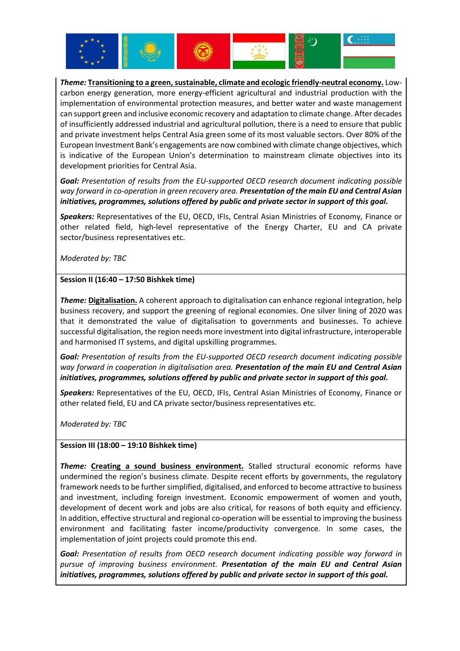

*Theme:* **Transitioning to a green, sustainable, climate and ecologic friendly-neutral economy.** Lowcarbon energy generation, more energy-efficient agricultural and industrial production with the implementation of environmental protection measures, and better water and waste management can support green and inclusive economic recovery and adaptation to climate change. After decades of insufficiently addressed industrial and agricultural pollution, there is a need to ensure that public and private investment helps Central Asia green some of its most valuable sectors. Over 80% of the European Investment Bank's engagements are now combined with climate change objectives, which is indicative of the European Union's determination to mainstream climate objectives into its development priorities for Central Asia.

*Goal: Presentation of results from the EU-supported OECD research document indicating possible way forward in co-operation in green recovery area. Presentation of the main EU and Central Asian initiatives, programmes, solutions offered by public and private sector in support of this goal.*

*Speakers:* Representatives of the EU, OECD, IFIs, Central Asian Ministries of Economy, Finance or other related field, high-level representative of the Energy Charter, EU and CA private sector/business representatives etc.

*Moderated by: TBC* 

### **Session II (16:40 – 17:50 Bishkek time)**

*Theme:* **Digitalisation.** A coherent approach to digitalisation can enhance regional integration, help business recovery, and support the greening of regional economies. One silver lining of 2020 was that it demonstrated the value of digitalisation to governments and businesses. To achieve successful digitalisation, the region needs more investment into digital infrastructure, interoperable and harmonised IT systems, and digital upskilling programmes.

*Goal: Presentation of results from the EU-supported OECD research document indicating possible way forward in cooperation in digitalisation area. Presentation of the main EU and Central Asian initiatives, programmes, solutions offered by public and private sector in support of this goal.*

*Speakers:* Representatives of the EU, OECD, IFIs, Central Asian Ministries of Economy, Finance or other related field, EU and CA private sector/business representatives etc.

*Moderated by: TBC* 

# **Session III (18:00 – 19:10 Bishkek time)**

*Theme:* **Creating a sound business environment.** Stalled structural economic reforms have undermined the region's business climate. Despite recent efforts by governments, the regulatory framework needs to be further simplified, digitalised, and enforced to become attractive to business and investment, including foreign investment. Economic empowerment of women and youth, development of decent work and jobs are also critical, for reasons of both equity and efficiency. In addition, effective structural and regional co-operation will be essential to improving the business environment and facilitating faster income/productivity convergence. In some cases, the implementation of joint projects could promote this end.

*Goal: Presentation of results from OECD research document indicating possible way forward in pursue of improving business environment. Presentation of the main EU and Central Asian initiatives, programmes, solutions offered by public and private sector in support of this goal.*